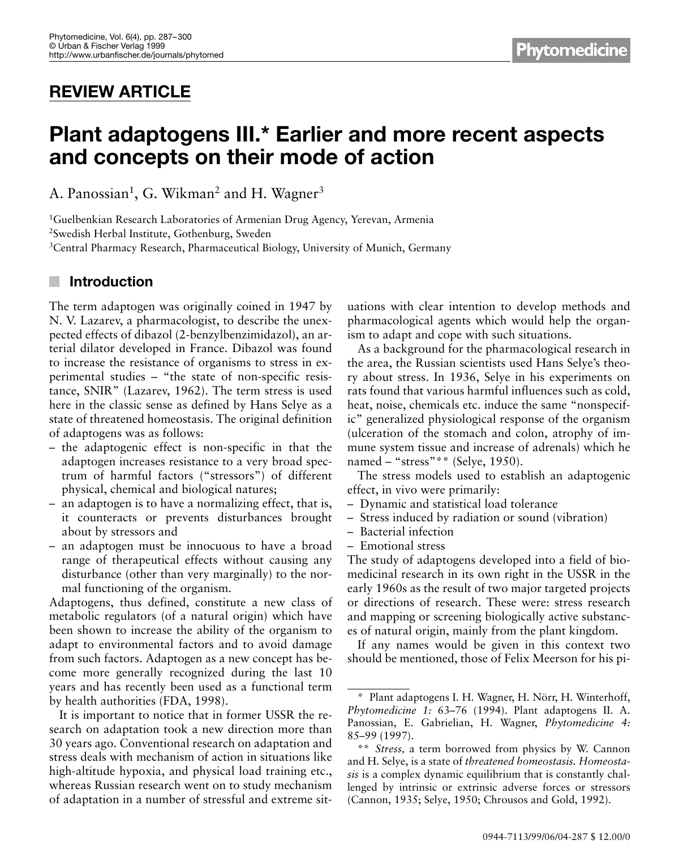# **REVIEW ARTICLE**

# **Plant adaptogens III.\* Earlier and more recent aspects and concepts on their mode of action**

A. Panossian<sup>1</sup>, G. Wikman<sup>2</sup> and H. Wagner<sup>3</sup>

<sup>1</sup>Guelbenkian Research Laboratories of Armenian Drug Agency, Yerevan, Armenia 2Swedish Herbal Institute, Gothenburg, Sweden <sup>3</sup>Central Pharmacy Research, Pharmaceutical Biology, University of Munich, Germany

# **Introduction**

The term adaptogen was originally coined in 1947 by N. V. Lazarev, a pharmacologist, to describe the unexpected effects of dibazol (2-benzylbenzimidazol), an arterial dilator developed in France. Dibazol was found to increase the resistance of organisms to stress in experimental studies – "the state of non-specific resistance, SNIR" (Lazarev, 1962). The term stress is used here in the classic sense as defined by Hans Selye as a state of threatened homeostasis. The original definition of adaptogens was as follows:

- the adaptogenic effect is non-specific in that the adaptogen increases resistance to a very broad spectrum of harmful factors ("stressors") of different physical, chemical and biological natures;
- an adaptogen is to have a normalizing effect, that is, it counteracts or prevents disturbances brought about by stressors and
- an adaptogen must be innocuous to have a broad range of therapeutical effects without causing any disturbance (other than very marginally) to the normal functioning of the organism.

Adaptogens, thus defined, constitute a new class of metabolic regulators (of a natural origin) which have been shown to increase the ability of the organism to adapt to environmental factors and to avoid damage from such factors. Adaptogen as a new concept has become more generally recognized during the last 10 years and has recently been used as a functional term by health authorities (FDA, 1998).

It is important to notice that in former USSR the research on adaptation took a new direction more than 30 years ago. Conventional research on adaptation and stress deals with mechanism of action in situations like high-altitude hypoxia, and physical load training etc., whereas Russian research went on to study mechanism of adaptation in a number of stressful and extreme situations with clear intention to develop methods and pharmacological agents which would help the organism to adapt and cope with such situations.

As a background for the pharmacological research in the area, the Russian scientists used Hans Selye's theory about stress. In 1936, Selye in his experiments on rats found that various harmful influences such as cold, heat, noise, chemicals etc. induce the same "nonspecific" generalized physiological response of the organism (ulceration of the stomach and colon, atrophy of immune system tissue and increase of adrenals) which he named – "stress"\*\* (Selye, 1950).

The stress models used to establish an adaptogenic effect, in vivo were primarily:

- Dynamic and statistical load tolerance
- Stress induced by radiation or sound (vibration)
- Bacterial infection
- Emotional stress

The study of adaptogens developed into a field of biomedicinal research in its own right in the USSR in the early 1960s as the result of two major targeted projects or directions of research. These were: stress research and mapping or screening biologically active substances of natural origin, mainly from the plant kingdom.

If any names would be given in this context two should be mentioned, those of Felix Meerson for his pi-

<sup>\*</sup> Plant adaptogens I. H. Wagner, H. Nörr, H. Winterhoff, *Phytomedicine 1:* 63–76 (1994). Plant adaptogens II. A. Panossian, E. Gabrielian, H. Wagner, *Phytomedicine 4:* 85–99 (1997).

<sup>\*\*</sup> *Stress,* a term borrowed from physics by W. Cannon and H. Selye, is a state of *threatened homeostasis. Homeostasis* is a complex dynamic equilibrium that is constantly challenged by intrinsic or extrinsic adverse forces or stressors (Cannon, 1935; Selye, 1950; Chrousos and Gold, 1992).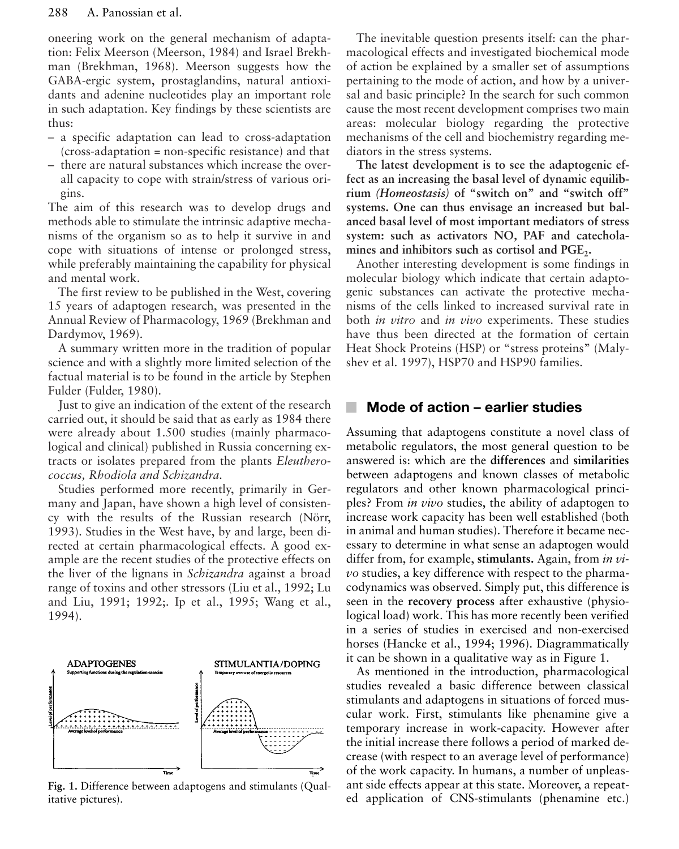oneering work on the general mechanism of adaptation: Felix Meerson (Meerson, 1984) and Israel Brekhman (Brekhman, 1968). Meerson suggests how the GABA-ergic system, prostaglandins, natural antioxidants and adenine nucleotides play an important role in such adaptation. Key findings by these scientists are thus:

- a specific adaptation can lead to cross-adaptation (cross-adaptation = non-specific resistance) and that
- there are natural substances which increase the overall capacity to cope with strain/stress of various origins.

The aim of this research was to develop drugs and methods able to stimulate the intrinsic adaptive mechanisms of the organism so as to help it survive in and cope with situations of intense or prolonged stress, while preferably maintaining the capability for physical and mental work.

The first review to be published in the West, covering 15 years of adaptogen research, was presented in the Annual Review of Pharmacology, 1969 (Brekhman and Dardymov, 1969).

A summary written more in the tradition of popular science and with a slightly more limited selection of the factual material is to be found in the article by Stephen Fulder (Fulder, 1980).

Just to give an indication of the extent of the research carried out, it should be said that as early as 1984 there were already about 1.500 studies (mainly pharmacological and clinical) published in Russia concerning extracts or isolates prepared from the plants *Eleutherococcus, Rhodiola and Schizandra.*

Studies performed more recently, primarily in Germany and Japan, have shown a high level of consistency with the results of the Russian research (Nörr, 1993). Studies in the West have, by and large, been directed at certain pharmacological effects. A good example are the recent studies of the protective effects on the liver of the lignans in *Schizandra* against a broad range of toxins and other stressors (Liu et al., 1992; Lu and Liu, 1991; 1992;. Ip et al., 1995; Wang et al., 1994).



**Fig. 1.** Difference between adaptogens and stimulants (Qualitative pictures).

The inevitable question presents itself: can the pharmacological effects and investigated biochemical mode of action be explained by a smaller set of assumptions pertaining to the mode of action, and how by a universal and basic principle? In the search for such common cause the most recent development comprises two main areas: molecular biology regarding the protective mechanisms of the cell and biochemistry regarding mediators in the stress systems.

**The latest development is to see the adaptogenic effect as an increasing the basal level of dynamic equilibrium** *(Homeostasis)* **of "switch on" and "switch off" systems. One can thus envisage an increased but balanced basal level of most important mediators of stress system: such as activators NO, PAF and catechola**mines and inhibitors such as cortisol and PGE<sub>2</sub>.

Another interesting development is some findings in molecular biology which indicate that certain adaptogenic substances can activate the protective mechanisms of the cells linked to increased survival rate in both *in vitro* and *in vivo* experiments. These studies have thus been directed at the formation of certain Heat Shock Proteins (HSP) or "stress proteins" (Malyshev et al. 1997), HSP70 and HSP90 families.

# **Mode of action – earlier studies**

Assuming that adaptogens constitute a novel class of metabolic regulators, the most general question to be answered is: which are the **differences** and **similarities** between adaptogens and known classes of metabolic regulators and other known pharmacological principles? From *in vivo* studies, the ability of adaptogen to increase work capacity has been well established (both in animal and human studies). Therefore it became necessary to determine in what sense an adaptogen would differ from, for example, **stimulants.** Again, from *in vivo* studies, a key difference with respect to the pharmacodynamics was observed. Simply put, this difference is seen in the **recovery process** after exhaustive (physiological load) work. This has more recently been verified in a series of studies in exercised and non-exercised horses (Hancke et al., 1994; 1996). Diagrammatically it can be shown in a qualitative way as in Figure 1.

As mentioned in the introduction, pharmacological studies revealed a basic difference between classical stimulants and adaptogens in situations of forced muscular work. First, stimulants like phenamine give a temporary increase in work-capacity. However after the initial increase there follows a period of marked decrease (with respect to an average level of performance) of the work capacity. In humans, a number of unpleasant side effects appear at this state. Moreover, a repeated application of CNS-stimulants (phenamine etc.)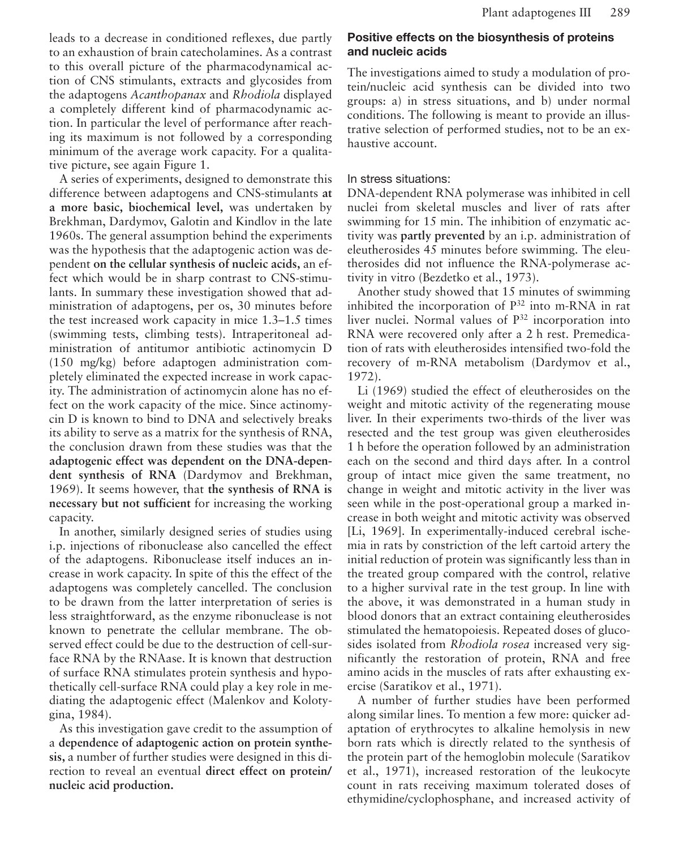leads to a decrease in conditioned reflexes, due partly to an exhaustion of brain catecholamines. As a contrast to this overall picture of the pharmacodynamical action of CNS stimulants, extracts and glycosides from the adaptogens *Acanthopanax* and *Rhodiola* displayed a completely different kind of pharmacodynamic action. In particular the level of performance after reaching its maximum is not followed by a corresponding minimum of the average work capacity. For a qualitative picture, see again Figure 1.

A series of experiments, designed to demonstrate this difference between adaptogens and CNS-stimulants **at a more basic, biochemical level,** was undertaken by Brekhman, Dardymov, Galotin and Kindlov in the late 1960s. The general assumption behind the experiments was the hypothesis that the adaptogenic action was dependent **on the cellular synthesis of nucleic acids,** an effect which would be in sharp contrast to CNS-stimulants. In summary these investigation showed that administration of adaptogens, per os, 30 minutes before the test increased work capacity in mice 1.3–1.5 times (swimming tests, climbing tests). Intraperitoneal administration of antitumor antibiotic actinomycin D (150 mg/kg) before adaptogen administration completely eliminated the expected increase in work capacity. The administration of actinomycin alone has no effect on the work capacity of the mice. Since actinomycin D is known to bind to DNA and selectively breaks its ability to serve as a matrix for the synthesis of RNA, the conclusion drawn from these studies was that the **adaptogenic effect was dependent on the DNA-dependent synthesis of RNA** (Dardymov and Brekhman, 1969). It seems however, that **the synthesis of RNA is necessary but not sufficient** for increasing the working capacity.

In another, similarly designed series of studies using i.p. injections of ribonuclease also cancelled the effect of the adaptogens. Ribonuclease itself induces an increase in work capacity. In spite of this the effect of the adaptogens was completely cancelled. The conclusion to be drawn from the latter interpretation of series is less straightforward, as the enzyme ribonuclease is not known to penetrate the cellular membrane. The observed effect could be due to the destruction of cell-surface RNA by the RNAase. It is known that destruction of surface RNA stimulates protein synthesis and hypothetically cell-surface RNA could play a key role in mediating the adaptogenic effect (Malenkov and Kolotygina, 1984).

As this investigation gave credit to the assumption of a **dependence of adaptogenic action on protein synthesis,** a number of further studies were designed in this direction to reveal an eventual **direct effect on protein/ nucleic acid production.**

# **Positive effects on the biosynthesis of proteins and nucleic acids**

The investigations aimed to study a modulation of protein/nucleic acid synthesis can be divided into two groups: a) in stress situations, and b) under normal conditions. The following is meant to provide an illustrative selection of performed studies, not to be an exhaustive account.

#### In stress situations:

DNA-dependent RNA polymerase was inhibited in cell nuclei from skeletal muscles and liver of rats after swimming for 15 min. The inhibition of enzymatic activity was **partly prevented** by an i.p. administration of eleutherosides 45 minutes before swimming. The eleutherosides did not influence the RNA-polymerase activity in vitro (Bezdetko et al., 1973).

Another study showed that 15 minutes of swimming inhibited the incorporation of  $P^{32}$  into m-RNA in rat liver nuclei. Normal values of  $P<sup>32</sup>$  incorporation into RNA were recovered only after a 2 h rest. Premedication of rats with eleutherosides intensified two-fold the recovery of m-RNA metabolism (Dardymov et al., 1972).

Li (1969) studied the effect of eleutherosides on the weight and mitotic activity of the regenerating mouse liver. In their experiments two-thirds of the liver was resected and the test group was given eleutherosides 1 h before the operation followed by an administration each on the second and third days after. In a control group of intact mice given the same treatment, no change in weight and mitotic activity in the liver was seen while in the post-operational group a marked increase in both weight and mitotic activity was observed [Li, 1969]. In experimentally-induced cerebral ischemia in rats by constriction of the left cartoid artery the initial reduction of protein was significantly less than in the treated group compared with the control, relative to a higher survival rate in the test group. In line with the above, it was demonstrated in a human study in blood donors that an extract containing eleutherosides stimulated the hematopoiesis. Repeated doses of glucosides isolated from *Rhodiola rosea* increased very significantly the restoration of protein, RNA and free amino acids in the muscles of rats after exhausting exercise (Saratikov et al., 1971).

A number of further studies have been performed along similar lines. To mention a few more: quicker adaptation of erythrocytes to alkaline hemolysis in new born rats which is directly related to the synthesis of the protein part of the hemoglobin molecule (Saratikov et al., 1971), increased restoration of the leukocyte count in rats receiving maximum tolerated doses of ethymidine/cyclophosphane, and increased activity of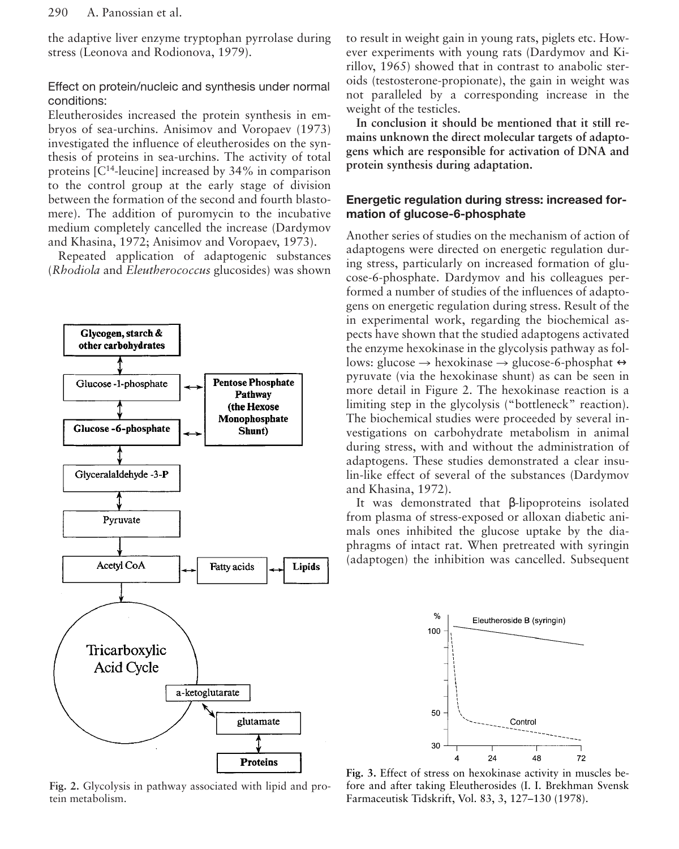the adaptive liver enzyme tryptophan pyrrolase during stress (Leonova and Rodionova, 1979).

### Effect on protein/nucleic and synthesis under normal conditions:

Eleutherosides increased the protein synthesis in embryos of sea-urchins. Anisimov and Voropaev (1973) investigated the influence of eleutherosides on the synthesis of proteins in sea-urchins. The activity of total proteins  $[C^{14}]$ -leucine] increased by 34% in comparison to the control group at the early stage of division between the formation of the second and fourth blastomere). The addition of puromycin to the incubative medium completely cancelled the increase (Dardymov and Khasina, 1972; Anisimov and Voropaev, 1973).

Repeated application of adaptogenic substances (*Rhodiola* and *Eleutherococcus* glucosides) was shown



**Fig. 2.** Glycolysis in pathway associated with lipid and protein metabolism.

to result in weight gain in young rats, piglets etc. However experiments with young rats (Dardymov and Kirillov, 1965) showed that in contrast to anabolic steroids (testosterone-propionate), the gain in weight was not paralleled by a corresponding increase in the weight of the testicles.

**In conclusion it should be mentioned that it still remains unknown the direct molecular targets of adaptogens which are responsible for activation of DNA and protein synthesis during adaptation.**

## **Energetic regulation during stress: increased formation of glucose-6-phosphate**

Another series of studies on the mechanism of action of adaptogens were directed on energetic regulation during stress, particularly on increased formation of glucose-6-phosphate. Dardymov and his colleagues performed a number of studies of the influences of adaptogens on energetic regulation during stress. Result of the in experimental work, regarding the biochemical aspects have shown that the studied adaptogens activated the enzyme hexokinase in the glycolysis pathway as follows: glucose  $\rightarrow$  hexokinase  $\rightarrow$  glucose-6-phosphat  $\leftrightarrow$ pyruvate (via the hexokinase shunt) as can be seen in more detail in Figure 2. The hexokinase reaction is a limiting step in the glycolysis ("bottleneck" reaction). The biochemical studies were proceeded by several investigations on carbohydrate metabolism in animal during stress, with and without the administration of adaptogens. These studies demonstrated a clear insulin-like effect of several of the substances (Dardymov and Khasina, 1972).

It was demonstrated that β-lipoproteins isolated from plasma of stress-exposed or alloxan diabetic animals ones inhibited the glucose uptake by the diaphragms of intact rat. When pretreated with syringin (adaptogen) the inhibition was cancelled. Subsequent



**Fig. 3.** Effect of stress on hexokinase activity in muscles before and after taking Eleutherosides (I. I. Brekhman Svensk Farmaceutisk Tidskrift, Vol. 83, 3, 127–130 (1978).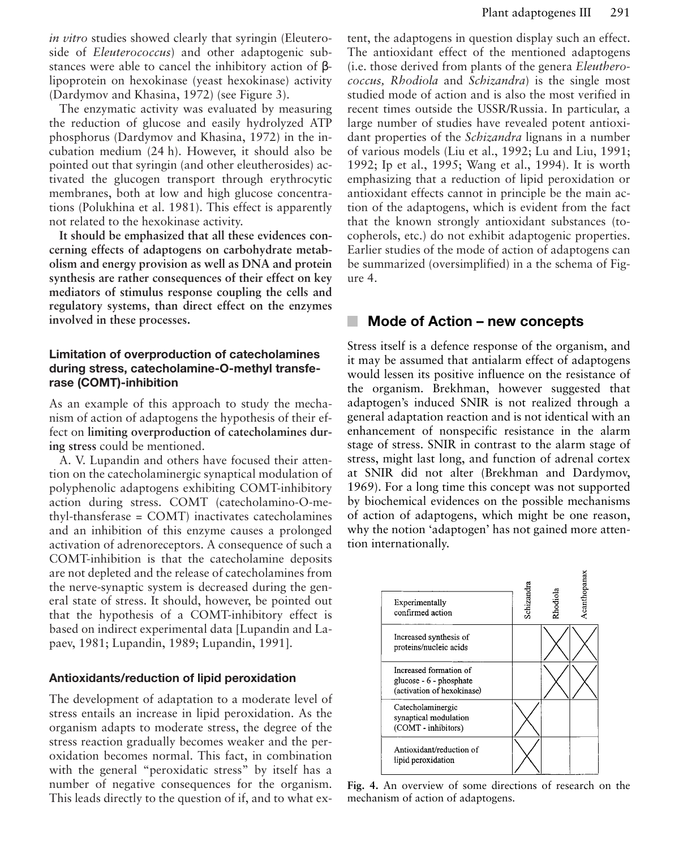*in vitro* studies showed clearly that syringin (Eleuteroside of *Eleuterococcus*) and other adaptogenic substances were able to cancel the inhibitory action of βlipoprotein on hexokinase (yeast hexokinase) activity (Dardymov and Khasina, 1972) (see Figure 3).

The enzymatic activity was evaluated by measuring the reduction of glucose and easily hydrolyzed ATP phosphorus (Dardymov and Khasina, 1972) in the incubation medium (24 h). However, it should also be pointed out that syringin (and other eleutherosides) activated the glucogen transport through erythrocytic membranes, both at low and high glucose concentrations (Polukhina et al. 1981). This effect is apparently not related to the hexokinase activity.

**It should be emphasized that all these evidences concerning effects of adaptogens on carbohydrate metabolism and energy provision as well as DNA and protein synthesis are rather consequences of their effect on key mediators of stimulus response coupling the cells and regulatory systems, than direct effect on the enzymes involved in these processes.**

### **Limitation of overproduction of catecholamines during stress, catecholamine-O-methyl transferase (COMT)-inhibition**

As an example of this approach to study the mechanism of action of adaptogens the hypothesis of their effect on **limiting overproduction of catecholamines during stress** could be mentioned.

A. V. Lupandin and others have focused their attention on the catecholaminergic synaptical modulation of polyphenolic adaptogens exhibiting COMT-inhibitory action during stress. COMT (catecholamino-O-methyl-thansferase = COMT) inactivates catecholamines and an inhibition of this enzyme causes a prolonged activation of adrenoreceptors. A consequence of such a COMT-inhibition is that the catecholamine deposits are not depleted and the release of catecholamines from the nerve-synaptic system is decreased during the general state of stress. It should, however, be pointed out that the hypothesis of a COMT-inhibitory effect is based on indirect experimental data [Lupandin and Lapaev, 1981; Lupandin, 1989; Lupandin, 1991].

#### **Antioxidants/reduction of lipid peroxidation**

The development of adaptation to a moderate level of stress entails an increase in lipid peroxidation. As the organism adapts to moderate stress, the degree of the stress reaction gradually becomes weaker and the peroxidation becomes normal. This fact, in combination with the general "peroxidatic stress" by itself has a number of negative consequences for the organism. This leads directly to the question of if, and to what extent, the adaptogens in question display such an effect. The antioxidant effect of the mentioned adaptogens (i.e. those derived from plants of the genera *Eleutherococcus, Rhodiola* and *Schizandra*) is the single most studied mode of action and is also the most verified in recent times outside the USSR/Russia. In particular, a large number of studies have revealed potent antioxidant properties of the *Schizandra* lignans in a number of various models (Liu et al., 1992; Lu and Liu, 1991; 1992; Ip et al., 1995; Wang et al., 1994). It is worth emphasizing that a reduction of lipid peroxidation or antioxidant effects cannot in principle be the main action of the adaptogens, which is evident from the fact that the known strongly antioxidant substances (tocopherols, etc.) do not exhibit adaptogenic properties. Earlier studies of the mode of action of adaptogens can be summarized (oversimplified) in a the schema of Figure 4.

#### **Mode of Action – new concepts** a a

Stress itself is a defence response of the organism, and it may be assumed that antialarm effect of adaptogens would lessen its positive influence on the resistance of the organism. Brekhman, however suggested that adaptogen's induced SNIR is not realized through a general adaptation reaction and is not identical with an enhancement of nonspecific resistance in the alarm stage of stress. SNIR in contrast to the alarm stage of stress, might last long, and function of adrenal cortex at SNIR did not alter (Brekhman and Dardymov, 1969). For a long time this concept was not supported by biochemical evidences on the possible mechanisms of action of adaptogens, which might be one reason, why the notion 'adaptogen' has not gained more attention internationally.



**Fig. 4.** An overview of some directions of research on the mechanism of action of adaptogens.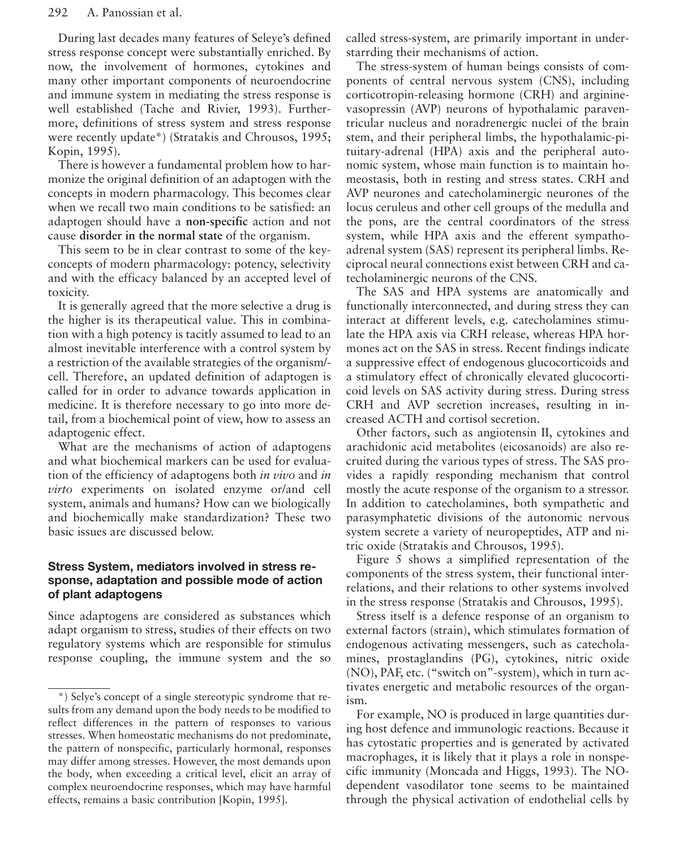During last decades many features of Seleye's defined stress response concept were substantially enriched. By now, the involvement of hormones, cytokines and many other important components of neuroendocrine and immune system in mediating the stress response is well established (Tache and Rivier, 1993). Furthermore, definitions of stress system and stress response were recently update\*) (Stratakis and Chrousos, 1995; Kopin, 1995).

There is however a fundamental problem how to harmonize the original definition of an adaptogen with the concepts in modern pharmacology. This becomes clear when we recall two main conditions to be satisfied: an adaptogen should have a **non-specific** action and not cause **disorder in the normal state** of the organism.

This seem to be in clear contrast to some of the keyconcepts of modern pharmacology: potency, selectivity and with the efficacy balanced by an accepted level of toxicity.

It is generally agreed that the more selective a drug is the higher is its therapeutical value. This in combination with a high potency is tacitly assumed to lead to an almost inevitable interference with a control system by a restriction of the available strategies of the organism/ cell. Therefore, an updated definition of adaptogen is called for in order to advance towards application in medicine. It is therefore necessary to go into more detail, from a biochemical point of view, how to assess an adaptogenic effect.

What are the mechanisms of action of adaptogens and what biochemical markers can be used for evaluation of the efficiency of adaptogens both *in vivo* and *in virto* experiments on isolated enzyme or/and cell system, animals and humans? How can we biologically and biochemically make standardization? These two basic issues are discussed below.

## **Stress System, mediators involved in stress response, adaptation and possible mode of action of plant adaptogens**

Since adaptogens are considered as substances which adapt organism to stress, studies of their effects on two regulatory systems which are responsible for stimulus response coupling, the immune system and the so

called stress-system, are primarily important in understarrding their mechanisms of action.

The stress-system of human beings consists of components of central nervous system (CNS), including corticotropin-releasing hormone (CRH) and argininevasopressin (AVP) neurons of hypothalamic paraventricular nucleus and noradrenergic nuclei of the brain stem, and their peripheral limbs, the hypothalamic-pituitary-adrenal (HPA) axis and the peripheral autonomic system, whose main function is to maintain homeostasis, both in resting and stress states. CRH and AVP neurones and catecholaminergic neurones of the locus ceruleus and other cell groups of the medulla and the pons, are the central coordinators of the stress system, while HPA axis and the efferent sympathoadrenal system (SAS) represent its peripheral limbs. Reciprocal neural connections exist between CRH and catecholaminergic neurons of the CNS.

The SAS and HPA systems are anatomically and functionally interconnected, and during stress they can interact at different levels, e.g. catecholamines stimulate the HPA axis via CRH release, whereas HPA hormones act on the SAS in stress. Recent findings indicate a suppressive effect of endogenous glucocorticoids and a stimulatory effect of chronically elevated glucocorticoid levels on SAS activity during stress. During stress CRH and AVP secretion increases, resulting in increased ACTH and cortisol secretion.

Other factors, such as angiotensin II, cytokines and arachidonic acid metabolites (eicosanoids) are also recruited during the various types of stress. The SAS provides a rapidly responding mechanism that control mostly the acute response of the organism to a stressor. In addition to catecholamines, both sympathetic and parasymphatetic divisions of the autonomic nervous system secrete a variety of neuropeptides, ATP and nitric oxide (Stratakis and Chrousos, 1995).

Figure 5 shows a simplified representation of the components of the stress system, their functional interrelations, and their relations to other systems involved in the stress response (Stratakis and Chrousos, 1995).

Stress itself is a defence response of an organism to external factors (strain), which stimulates formation of endogenous activating messengers, such as catecholamines, prostaglandins (PG), cytokines, nitric oxide (NO), PAF, etc. ("switch on"-system), which in turn activates energetic and metabolic resources of the organism.

For example, NO is produced in large quantities during host defence and immunologic reactions. Because it has cytostatic properties and is generated by activated macrophages, it is likely that it plays a role in nonspecific immunity (Moncada and Higgs, 1993). The NOdependent vasodilator tone seems to be maintained through the physical activation of endothelial cells by

<sup>\*)</sup> Selye's concept of a single stereotypic syndrome that results from any demand upon the body needs to be modified to reflect differences in the pattern of responses to various stresses. When homeostatic mechanisms do not predominate, the pattern of nonspecific, particularly hormonal, responses may differ among stresses. However, the most demands upon the body, when exceeding a critical level, elicit an array of complex neuroendocrine responses, which may have harmful effects, remains a basic contribution [Kopin, 1995].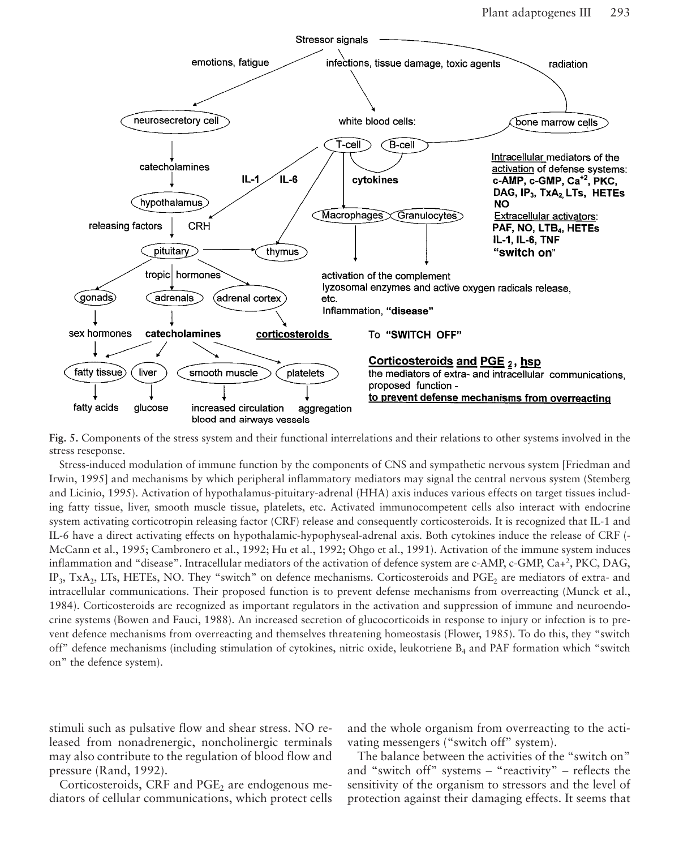

**Fig. 5.** Components of the stress system and their functional interrelations and their relations to other systems involved in the stress reseponse.

Stress-induced modulation of immune function by the components of CNS and sympathetic nervous system [Friedman and Irwin, 1995] and mechanisms by which peripheral inflammatory mediators may signal the central nervous system (Stemberg and Licinio, 1995). Activation of hypothalamus-pituitary-adrenal (HHA) axis induces various effects on target tissues including fatty tissue, liver, smooth muscle tissue, platelets, etc. Activated immunocompetent cells also interact with endocrine system activating corticotropin releasing factor (CRF) release and consequently corticosteroids. It is recognized that IL-1 and IL-6 have a direct activating effects on hypothalamic-hypophyseal-adrenal axis. Both cytokines induce the release of CRF (- McCann et al., 1995; Cambronero et al., 1992; Hu et al., 1992; Ohgo et al., 1991). Activation of the immune system induces inflammation and "disease". Intracellular mediators of the activation of defence system are c-AMP, c-GMP, Ca+2, PKC, DAG, IP<sub>3</sub>, TxA<sub>2</sub>, LTs, HETEs, NO. They "switch" on defence mechanisms. Corticosteroids and PGE<sub>2</sub> are mediators of extra- and intracellular communications. Their proposed function is to prevent defense mechanisms from overreacting (Munck et al., 1984). Corticosteroids are recognized as important regulators in the activation and suppression of immune and neuroendocrine systems (Bowen and Fauci, 1988). An increased secretion of glucocorticoids in response to injury or infection is to prevent defence mechanisms from overreacting and themselves threatening homeostasis (Flower, 1985). To do this, they "switch off" defence mechanisms (including stimulation of cytokines, nitric oxide, leukotriene  $B_4$  and PAF formation which "switch on" the defence system).

stimuli such as pulsative flow and shear stress. NO released from nonadrenergic, noncholinergic terminals may also contribute to the regulation of blood flow and pressure (Rand, 1992).

Corticosteroids, CRF and  $PGE_2$  are endogenous mediators of cellular communications, which protect cells and the whole organism from overreacting to the activating messengers ("switch off" system).

The balance between the activities of the "switch on" and "switch off" systems – "reactivity" – reflects the sensitivity of the organism to stressors and the level of protection against their damaging effects. It seems that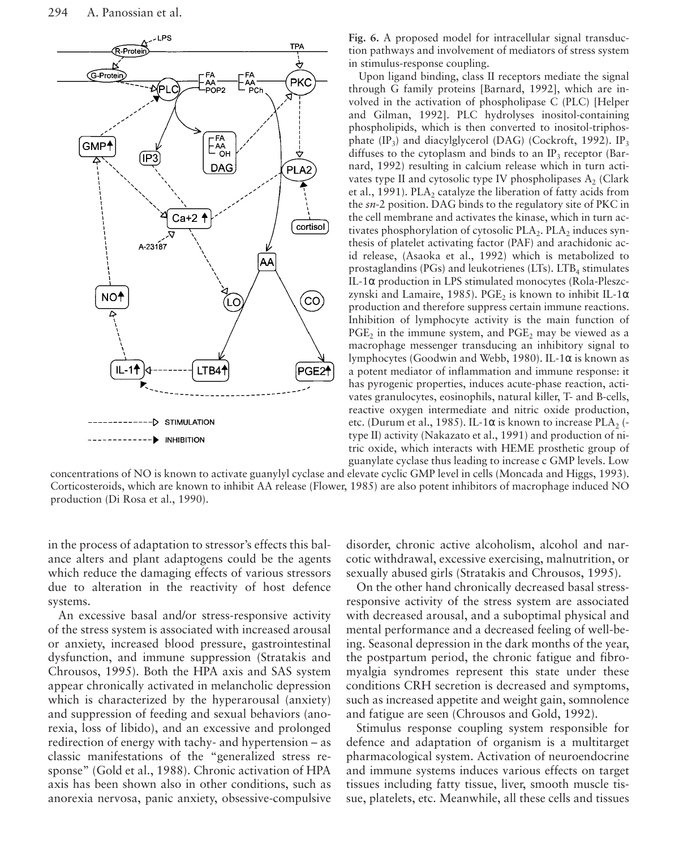

**Fig. 6.** A proposed model for intracellular signal transduction pathways and involvement of mediators of stress system in stimulus-response coupling.

Upon ligand binding, class II receptors mediate the signal through G family proteins [Barnard, 1992], which are involved in the activation of phospholipase C (PLC) [Helper and Gilman, 1992]. PLC hydrolyses inositol-containing phospholipids, which is then converted to inositol-triphosphate  $(\text{IP}_3)$  and diacylglycerol (DAG) (Cockroft, 1992). IP<sub>3</sub> diffuses to the cytoplasm and binds to an IP<sub>3</sub> receptor (Barnard, 1992) resulting in calcium release which in turn activates type II and cytosolic type IV phospholipases  $A_2$  (Clark et al., 1991). PLA, catalyze the liberation of fatty acids from the *sn*-2 position. DAG binds to the regulatory site of PKC in the cell membrane and activates the kinase, which in turn activates phosphorylation of cytosolic PLA<sub>2</sub>. PLA<sub>2</sub> induces synthesis of platelet activating factor (PAF) and arachidonic acid release, (Asaoka et al., 1992) which is metabolized to prostaglandins (PGs) and leukotrienes (LTs).  $LTB<sub>4</sub>$  stimulates IL-1α production in LPS stimulated monocytes (Rola-Pleszczynski and Lamaire, 1985). PGE<sub>2</sub> is known to inhibit IL-1 $\alpha$ production and therefore suppress certain immune reactions. Inhibition of lymphocyte activity is the main function of  $PGE_2$  in the immune system, and  $PGE_2$  may be viewed as a macrophage messenger transducing an inhibitory signal to lymphocytes (Goodwin and Webb, 1980). IL-1 $\alpha$  is known as a potent mediator of inflammation and immune response: it has pyrogenic properties, induces acute-phase reaction, activates granulocytes, eosinophils, natural killer, T- and B-cells, reactive oxygen intermediate and nitric oxide production, etc. (Durum et al., 1985). IL-1 $\alpha$  is known to increase PLA<sub>2</sub> (type II) activity (Nakazato et al., 1991) and production of nitric oxide, which interacts with HEME prosthetic group of guanylate cyclase thus leading to increase c GMP levels. Low

concentrations of NO is known to activate guanylyl cyclase and elevate cyclic GMP level in cells (Moncada and Higgs, 1993). Corticosteroids, which are known to inhibit AA release (Flower, 1985) are also potent inhibitors of macrophage induced NO production (Di Rosa et al., 1990).

in the process of adaptation to stressor's effects this balance alters and plant adaptogens could be the agents which reduce the damaging effects of various stressors due to alteration in the reactivity of host defence systems.

An excessive basal and/or stress-responsive activity of the stress system is associated with increased arousal or anxiety, increased blood pressure, gastrointestinal dysfunction, and immune suppression (Stratakis and Chrousos, 1995). Both the HPA axis and SAS system appear chronically activated in melancholic depression which is characterized by the hyperarousal (anxiety) and suppression of feeding and sexual behaviors (anorexia, loss of libido), and an excessive and prolonged redirection of energy with tachy- and hypertension – as classic manifestations of the "generalized stress response" (Gold et al., 1988). Chronic activation of HPA axis has been shown also in other conditions, such as anorexia nervosa, panic anxiety, obsessive-compulsive disorder, chronic active alcoholism, alcohol and narcotic withdrawal, excessive exercising, malnutrition, or sexually abused girls (Stratakis and Chrousos, 1995).

On the other hand chronically decreased basal stressresponsive activity of the stress system are associated with decreased arousal, and a suboptimal physical and mental performance and a decreased feeling of well-being. Seasonal depression in the dark months of the year, the postpartum period, the chronic fatigue and fibromyalgia syndromes represent this state under these conditions CRH secretion is decreased and symptoms, such as increased appetite and weight gain, somnolence and fatigue are seen (Chrousos and Gold, 1992).

Stimulus response coupling system responsible for defence and adaptation of organism is a multitarget pharmacological system. Activation of neuroendocrine and immune systems induces various effects on target tissues including fatty tissue, liver, smooth muscle tissue, platelets, etc. Meanwhile, all these cells and tissues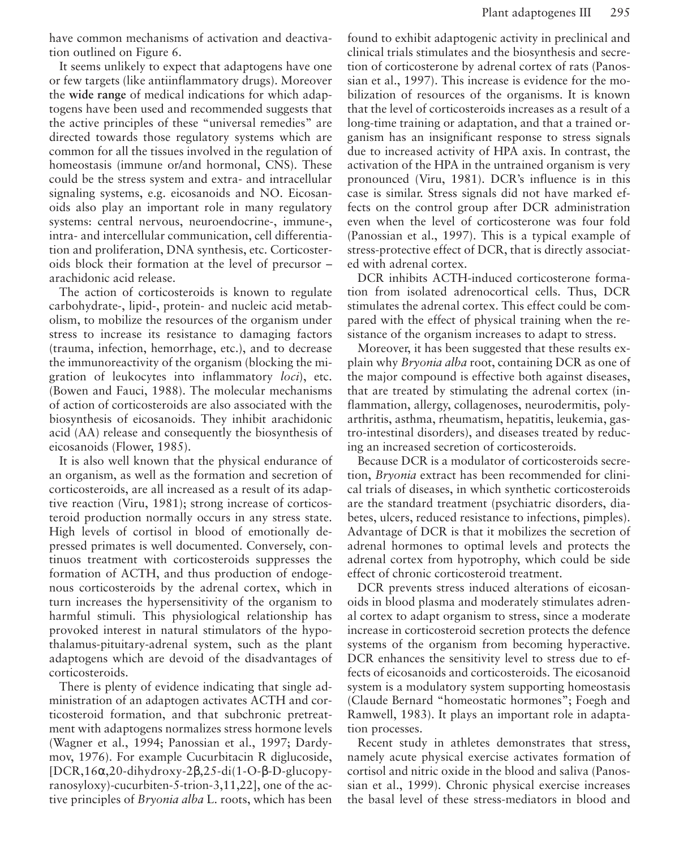have common mechanisms of activation and deactivation outlined on Figure 6.

It seems unlikely to expect that adaptogens have one or few targets (like antiinflammatory drugs). Moreover the **wide range** of medical indications for which adaptogens have been used and recommended suggests that the active principles of these "universal remedies" are directed towards those regulatory systems which are common for all the tissues involved in the regulation of homeostasis (immune or/and hormonal, CNS). These could be the stress system and extra- and intracellular signaling systems, e.g. eicosanoids and NO. Eicosanoids also play an important role in many regulatory systems: central nervous, neuroendocrine-, immune-, intra- and intercellular communication, cell differentiation and proliferation, DNA synthesis, etc. Corticosteroids block their formation at the level of precursor – arachidonic acid release.

The action of corticosteroids is known to regulate carbohydrate-, lipid-, protein- and nucleic acid metabolism, to mobilize the resources of the organism under stress to increase its resistance to damaging factors (trauma, infection, hemorrhage, etc.), and to decrease the immunoreactivity of the organism (blocking the migration of leukocytes into inflammatory *loci*), etc. (Bowen and Fauci, 1988). The molecular mechanisms of action of corticosteroids are also associated with the biosynthesis of eicosanoids. They inhibit arachidonic acid (AA) release and consequently the biosynthesis of eicosanoids (Flower, 1985).

It is also well known that the physical endurance of an organism, as well as the formation and secretion of corticosteroids, are all increased as a result of its adaptive reaction (Viru, 1981); strong increase of corticosteroid production normally occurs in any stress state. High levels of cortisol in blood of emotionally depressed primates is well documented. Conversely, continuos treatment with corticosteroids suppresses the formation of ACTH, and thus production of endogenous corticosteroids by the adrenal cortex, which in turn increases the hypersensitivity of the organism to harmful stimuli. This physiological relationship has provoked interest in natural stimulators of the hypothalamus-pituitary-adrenal system, such as the plant adaptogens which are devoid of the disadvantages of corticosteroids.

There is plenty of evidence indicating that single administration of an adaptogen activates ACTH and corticosteroid formation, and that subchronic pretreatment with adaptogens normalizes stress hormone levels (Wagner et al., 1994; Panossian et al., 1997; Dardymov, 1976). For example Cucurbitacin R diglucoside, [DCR,16α,20-dihydroxy-2β,25-di(1-O-β-D-glucopyranosyloxy)-cucurbiten-5-trion-3,11,22], one of the active principles of *Bryonia alba* L. roots, which has been found to exhibit adaptogenic activity in preclinical and clinical trials stimulates and the biosynthesis and secretion of corticosterone by adrenal cortex of rats (Panossian et al., 1997). This increase is evidence for the mobilization of resources of the organisms. It is known that the level of corticosteroids increases as a result of a long-time training or adaptation, and that a trained organism has an insignificant response to stress signals due to increased activity of HPA axis. In contrast, the activation of the HPA in the untrained organism is very pronounced (Viru, 1981). DCR's influence is in this case is similar. Stress signals did not have marked effects on the control group after DCR administration even when the level of corticosterone was four fold (Panossian et al., 1997). This is a typical example of stress-protective effect of DCR, that is directly associated with adrenal cortex.

DCR inhibits ACTH-induced corticosterone formation from isolated adrenocortical cells. Thus, DCR stimulates the adrenal cortex. This effect could be compared with the effect of physical training when the resistance of the organism increases to adapt to stress.

Moreover, it has been suggested that these results explain why *Bryonia alba* root, containing DCR as one of the major compound is effective both against diseases, that are treated by stimulating the adrenal cortex (inflammation, allergy, collagenoses, neurodermitis, polyarthritis, asthma, rheumatism, hepatitis, leukemia, gastro-intestinal disorders), and diseases treated by reducing an increased secretion of corticosteroids.

Because DCR is a modulator of corticosteroids secretion, *Bryonia* extract has been recommended for clinical trials of diseases, in which synthetic corticosteroids are the standard treatment (psychiatric disorders, diabetes, ulcers, reduced resistance to infections, pimples). Advantage of DCR is that it mobilizes the secretion of adrenal hormones to optimal levels and protects the adrenal cortex from hypotrophy, which could be side effect of chronic corticosteroid treatment.

DCR prevents stress induced alterations of eicosanoids in blood plasma and moderately stimulates adrenal cortex to adapt organism to stress, since a moderate increase in corticosteroid secretion protects the defence systems of the organism from becoming hyperactive. DCR enhances the sensitivity level to stress due to effects of eicosanoids and corticosteroids. The eicosanoid system is a modulatory system supporting homeostasis (Claude Bernard "homeostatic hormones"; Foegh and Ramwell, 1983). It plays an important role in adaptation processes.

Recent study in athletes demonstrates that stress, namely acute physical exercise activates formation of cortisol and nitric oxide in the blood and saliva (Panossian et al., 1999). Chronic physical exercise increases the basal level of these stress-mediators in blood and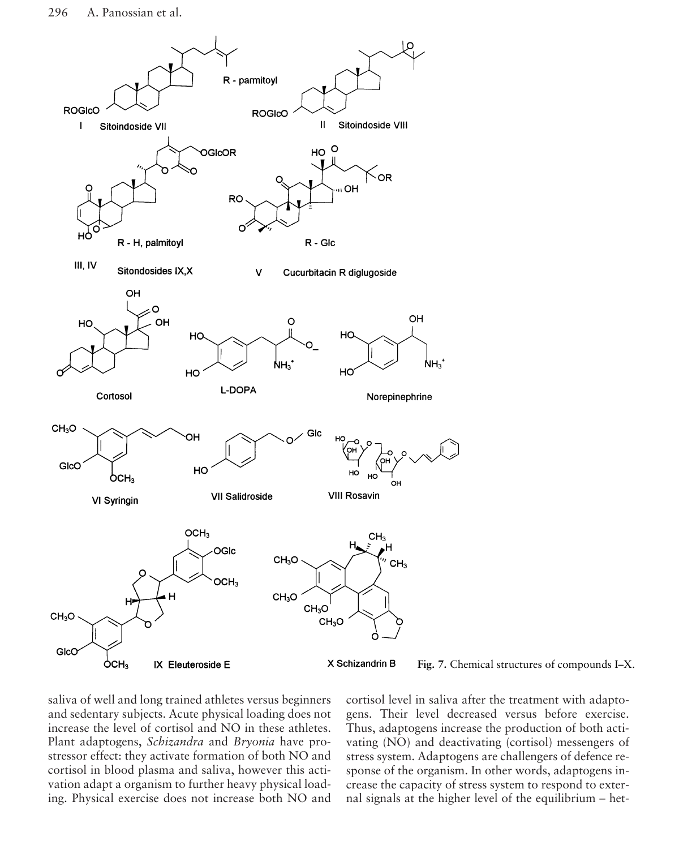

**Fig. 7.** Chemical structures of compounds I–X.

saliva of well and long trained athletes versus beginners and sedentary subjects. Acute physical loading does not increase the level of cortisol and NO in these athletes. Plant adaptogens, *Schizandra* and *Bryonia* have prostressor effect: they activate formation of both NO and cortisol in blood plasma and saliva, however this activation adapt a organism to further heavy physical loading. Physical exercise does not increase both NO and

cortisol level in saliva after the treatment with adaptogens. Their level decreased versus before exercise. Thus, adaptogens increase the production of both activating (NO) and deactivating (cortisol) messengers of stress system. Adaptogens are challengers of defence response of the organism. In other words, adaptogens increase the capacity of stress system to respond to external signals at the higher level of the equilibrium – het-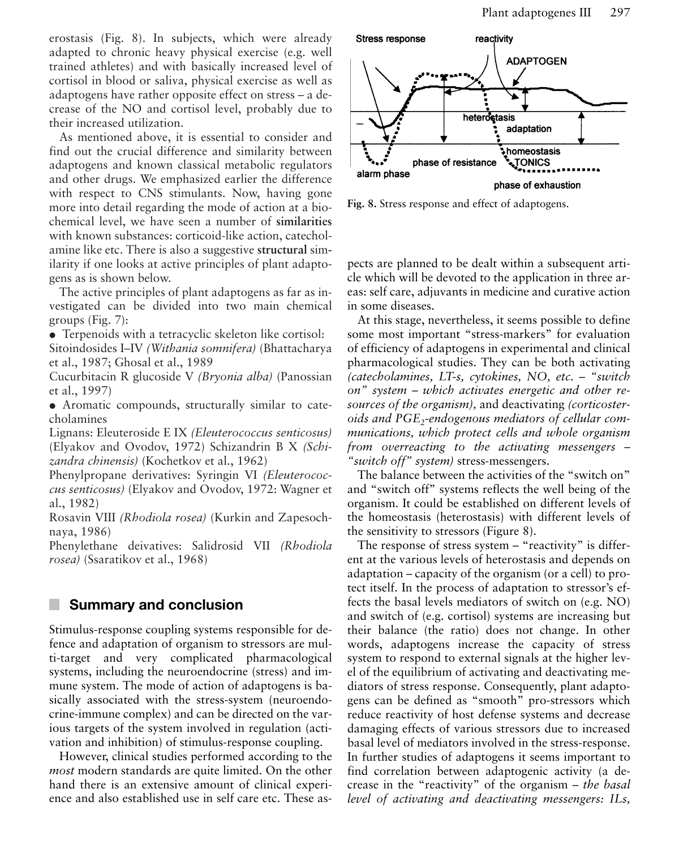erostasis (Fig. 8). In subjects, which were already adapted to chronic heavy physical exercise (e.g. well trained athletes) and with basically increased level of cortisol in blood or saliva, physical exercise as well as adaptogens have rather opposite effect on stress – a decrease of the NO and cortisol level, probably due to their increased utilization.

As mentioned above, it is essential to consider and find out the crucial difference and similarity between adaptogens and known classical metabolic regulators and other drugs. We emphasized earlier the difference with respect to CNS stimulants. Now, having gone more into detail regarding the mode of action at a biochemical level, we have seen a number of **similarities** with known substances: corticoid-like action, catecholamine like etc. There is also a suggestive **structural** similarity if one looks at active principles of plant adaptogens as is shown below.

The active principles of plant adaptogens as far as investigated can be divided into two main chemical groups (Fig. 7):

• Terpenoids with a tetracyclic skeleton like cortisol:

Sitoindosides I–IV *(Withania somnifera)* (Bhattacharya et al., 1987; Ghosal et al., 1989

Cucurbitacin R glucoside V *(Bryonia alba)* (Panossian et al., 1997)

• Aromatic compounds, structurally similar to catecholamines

Lignans: Eleuteroside E IX *(Eleuterococcus senticosus)* (Elyakov and Ovodov, 1972) Schizandrin B X *(Schizandra chinensis)* (Kochetkov et al., 1962)

Phenylpropane derivatives: Syringin VI *(Eleuterococcus senticosus)* (Elyakov and Ovodov, 1972: Wagner et al., 1982)

Rosavin VIII *(Rhodiola rosea)* (Kurkin and Zapesochnaya, 1986)

Phenylethane deivatives: Salidrosid VII *(Rhodiola rosea)* (Ssaratikov et al., 1968)

# **Summary and conclusion**

Stimulus-response coupling systems responsible for defence and adaptation of organism to stressors are multi-target and very complicated pharmacological systems, including the neuroendocrine (stress) and immune system. The mode of action of adaptogens is basically associated with the stress-system (neuroendocrine-immune complex) and can be directed on the various targets of the system involved in regulation (activation and inhibition) of stimulus-response coupling.

However, clinical studies performed according to the *most* modern standards are quite limited. On the other hand there is an extensive amount of clinical experience and also established use in self care etc. These as-



**Fig. 8.** Stress response and effect of adaptogens.

pects are planned to be dealt within a subsequent article which will be devoted to the application in three areas: self care, adjuvants in medicine and curative action in some diseases.

At this stage, nevertheless, it seems possible to define some most important "stress-markers" for evaluation of efficiency of adaptogens in experimental and clinical pharmacological studies. They can be both activating *(catecholamines, LT-s, cytokines, NO, etc. – "switch on" system – which activates energetic and other resources of the organism),* and deactivating *(corticoster*oids and PGE<sub>2</sub>-endogenous mediators of cellular com*munications, which protect cells and whole organism from overreacting to the activating messengers – "switch off" system)* stress-messengers.

The balance between the activities of the "switch on" and "switch off" systems reflects the well being of the organism. It could be established on different levels of the homeostasis (heterostasis) with different levels of the sensitivity to stressors (Figure 8).

The response of stress system – "reactivity" is different at the various levels of heterostasis and depends on adaptation – capacity of the organism (or a cell) to protect itself. In the process of adaptation to stressor's effects the basal levels mediators of switch on (e.g. NO) and switch of (e.g. cortisol) systems are increasing but their balance (the ratio) does not change. In other words, adaptogens increase the capacity of stress system to respond to external signals at the higher level of the equilibrium of activating and deactivating mediators of stress response. Consequently, plant adaptogens can be defined as "smooth" pro-stressors which reduce reactivity of host defense systems and decrease damaging effects of various stressors due to increased basal level of mediators involved in the stress-response. In further studies of adaptogens it seems important to find correlation between adaptogenic activity (a decrease in the "reactivity" of the organism – *the basal level of activating and deactivating messengers: ILs,*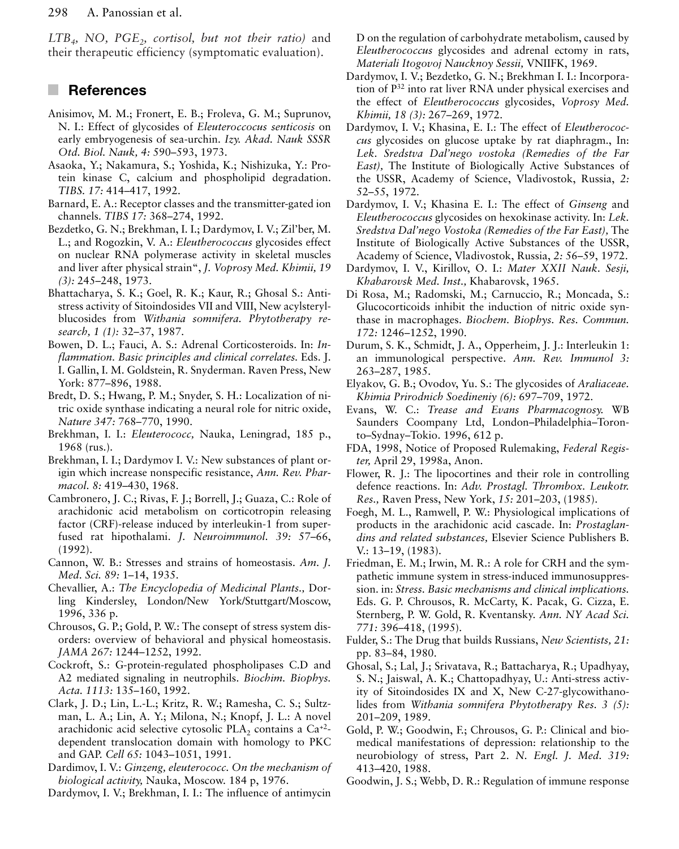*LTB<sub>4</sub>, NO, PGE<sub>2</sub>, cortisol, but not their ratio)* and their therapeutic efficiency (symptomatic evaluation).

#### m. **References**

- Anisimov, M. M.; Fronert, E. B.; Froleva, G. M.; Suprunov, N. I.: Effect of glycosides of *Eleuteroccocus senticosis* on early embryogenesis of sea-urchin. *Izy. Akad. Nauk SSSR Otd. Biol. Nauk, 4:* 590–593, 1973.
- Asaoka, Y.; Nakamura, S.; Yoshida, K.; Nishizuka, Y.: Protein kinase C, calcium and phospholipid degradation. *TIBS. 17:* 414–417, 1992.
- Barnard, E. A.: Receptor classes and the transmitter-gated ion channels. *TIBS 17:* 368–274, 1992.
- Bezdetko, G. N.; Brekhman, I. I.; Dardymov, I. V.; Zil'ber, M. L.; and Rogozkin, V. A.: *Eleutherococcus* glycosides effect on nuclear RNA polymerase activity in skeletal muscles and liver after physical strain", *J. Voprosy Med. Khimii, 19 (3):* 245–248, 1973.
- Bhattacharya, S. K.; Goel, R. K.; Kaur, R.; Ghosal S.: Antistress activity of Sitoindosides VII and VIII, New acylsterylblucosides from *Withania somnifera. Phytotherapy research, 1 (1):* 32–37, 1987.
- Bowen, D. L.; Fauci, A. S.: Adrenal Corticosteroids. In: *Inflammation. Basic principles and clinical correlates.* Eds. J. I. Gallin, I. M. Goldstein, R. Snyderman. Raven Press, New York: 877–896, 1988.
- Bredt, D. S.; Hwang, P. M.; Snyder, S. H.: Localization of nitric oxide synthase indicating a neural role for nitric oxide, *Nature 347:* 768–770, 1990.
- Brekhman, I. I.: *Eleuterococc,* Nauka, Leningrad, 185 p., 1968 (rus.).
- Brekhman, I. I.; Dardymov I. V.: New substances of plant origin which increase nonspecific resistance, *Ann. Rev. Pharmacol. 8:* 419–430, 1968.
- Cambronero, J. C.; Rivas, F. J.; Borrell, J.; Guaza, C.: Role of arachidonic acid metabolism on corticotropin releasing factor (CRF)-release induced by interleukin-1 from superfused rat hipothalami. *J. Neuroimmunol. 39:* 57–66, (1992).
- Cannon, W. B.: Stresses and strains of homeostasis. *Am. J. Med. Sci. 89:* 1–14, 1935.
- Chevallier, A.: *The Encyclopedia of Medicinal Plants.,* Dorling Kindersley, London/New York/Stuttgart/Moscow, 1996, 336 p.
- Chrousos, G. P.; Gold, P. W.: The consept of stress system disorders: overview of behavioral and physical homeostasis. *JAMA 267:* 1244–1252, 1992.
- Cockroft, S.: G-protein-regulated phospholipases C.D and A2 mediated signaling in neutrophils. *Biochim. Biophys. Acta. 1113:* 135–160, 1992.
- Clark, J. D.; Lin, L.-L.; Kritz, R. W.; Ramesha, C. S.; Sultzman, L. A.; Lin, A. Y.; Milona, N.; Knopf, J. L.: A novel arachidonic acid selective cytosolic  $PLA_2$  contains a  $Ca^{+2}$ dependent translocation domain with homology to PKC and GAP. *Cell 65:* 1043–1051, 1991.
- Dardimov, I. V.: *Ginzeng, eleuterococc. On the mechanism of biological activity,* Nauka, Moscow. 184 p, 1976.
- Dardymov, I. V.; Brekhman, I. I.: The influence of antimycin

D on the regulation of carbohydrate metabolism, caused by *Eleutherococcus* glycosides and adrenal ectomy in rats, *Materiali Itogovoj Naucknoy Sessii,* VNIIFK, 1969.

- Dardymov, I. V.; Bezdetko, G. N.; Brekhman I. I.: Incorporation of P32 into rat liver RNA under physical exercises and the effect of *Eleutherococcus* glycosides, *Voprosy Med. Khimii, 18 (3):* 267–269, 1972.
- Dardymov, I. V.; Khasina, E. I.: The effect of *Eleutherococcus* glycosides on glucose uptake by rat diaphragm., In: *Lek. Sredstva Dal'nego vostoka (Remedies of the Far East),* The Institute of Biologically Active Substances of the USSR, Academy of Science, Vladivostok, Russia, *2:* 52–55, 1972.
- Dardymov, I. V.; Khasina E. I.: The effect of *Ginseng* and *Eleutherococcus* glycosides on hexokinase activity. In: *Lek. Sredstva Dal'nego Vostoka (Remedies of the Far East),* The Institute of Biologically Active Substances of the USSR, Academy of Science, Vladivostok, Russia, *2:* 56–59, 1972.
- Dardymov, I. V., Kirillov, O. I.: *Mater XXII Nauk. Sesji, Khabarovsk Med. Inst.,* Khabarovsk, 1965.
- Di Rosa, M.; Radomski, M.; Carnuccio, R.; Moncada, S.: Glucocorticoids inhibit the induction of nitric oxide synthase in macrophages. *Biochem. Biophys. Res. Commun. 172:* 1246–1252, 1990.
- Durum, S. K., Schmidt, J. A., Opperheim, J. J.: Interleukin 1: an immunological perspective. *Ann. Rev. Immunol 3:* 263–287, 1985.
- Elyakov, G. B.; Ovodov, Yu. S.: The glycosides of *Araliaceae. Khimia Prirodnich Soedineniy (6):* 697–709, 1972.
- Evans, W. C.: *Trease and Evans Pharmacognosy.* WB Saunders Coompany Ltd, London–Philadelphia–Toronto–Sydnay–Tokio. 1996, 612 p.
- FDA, 1998, Notice of Proposed Rulemaking, *Federal Register,* April 29, 1998a, Anon.
- Flower, R. J.: The lipocortines and their role in controlling defence reactions. In: *Adv. Prostagl. Thrombox. Leukotr. Res.,* Raven Press, New York, *15:* 201–203, (1985).
- Foegh, M. L., Ramwell, P. W.: Physiological implications of products in the arachidonic acid cascade. In: *Prostaglandins and related substances,* Elsevier Science Publishers B. V.: 13–19, (1983).
- Friedman, E. M.; Irwin, M. R.: A role for CRH and the sympathetic immune system in stress-induced immunosuppression. in: *Stress. Basic mechanisms and clinical implications.* Eds. G. P. Chrousos, R. McCarty, K. Pacak, G. Cizza, E. Sternberg, P. W. Gold, R. Kventansky. *Ann. NY Acad Sci. 771:* 396–418, (1995).
- Fulder, S.: The Drug that builds Russians, *New Scientists, 21:* pp. 83–84, 1980.
- Ghosal, S.; Lal, J.; Srivatava, R.; Battacharya, R.; Upadhyay, S. N.; Jaiswal, A. K.; Chattopadhyay, U.: Anti-stress activity of Sitoindosides IX and X, New C-27-glycowithanolides from *Withania somnifera Phytotherapy Res. 3 (5):* 201–209, 1989.
- Gold, P. W.; Goodwin, F.; Chrousos, G. P.: Clinical and biomedical manifestations of depression: relationship to the neurobiology of stress, Part 2. *N. Engl. J. Med. 319:* 413–420, 1988.
- Goodwin, J. S.; Webb, D. R.: Regulation of immune response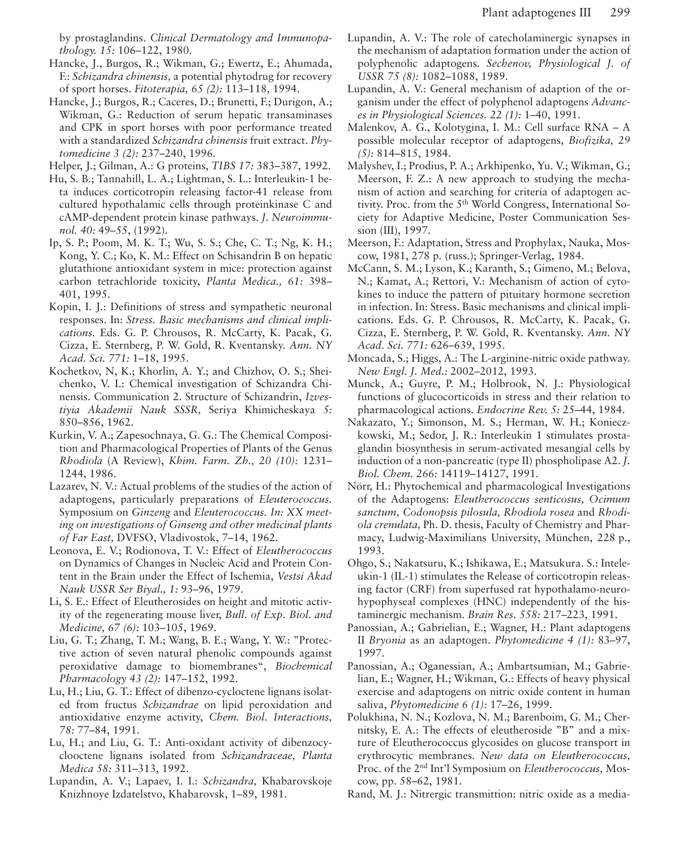by prostaglandins. *Clinical Dermatology and Immunopathology. 15:* 106–122, 1980.

- Hancke, J., Burgos, R.; Wikman, G.; Ewertz, E.; Ahumada, F.: *Schizandra chinensis,* a potential phytodrug for recovery of sport horses. *Fitoterapia, 65 (2):* 113–118, 1994.
- Hancke, J.; Burgos, R.; Caceres, D.; Brunetti, F.; Durigon, A.; Wikman, G.: Reduction of serum hepatic transaminases and CPK in sport horses with poor performance treated with a standardized *Schizandra chinensis* fruit extract. *Phytomedicine 3 (2):* 237–240, 1996.

Helper, J.; Gilman, A.: G proteins, *TIBS 17:* 383–387, 1992.

- Hu, S. B.; Tannahill, L. A.; Lightman, S. L.: Interleukin-1 beta induces corticotropin releasing factor-41 release from cultured hypothalamic cells through proteinkinase C and cAMP-dependent protein kinase pathways. *J. Neuroimmunol. 40:* 49–55, (1992).
- Ip, S. P.; Poom, M. K. T.; Wu, S. S.; Che, C. T.; Ng, K. H.; Kong, Y. C.; Ko, K. M.: Effect on Schisandrin B on hepatic glutathione antioxidant system in mice: protection against carbon tetrachloride toxicity, *Planta Medica., 61:* 398– 401, 1995.
- Kopin, I. J.: Definitions of stress and sympathetic neuronal responses. In: *Stress. Basic mechanisms and clinical implications.* Eds. G. P. Chrousos, R. McCarty, K. Pacak, G. Cizza, E. Sternberg, P. W. Gold, R. Kventansky. *Ann. NY Acad. Sci. 771:* 1–18, 1995.
- Kochetkov, N, K.; Khorlin, A. Y.; and Chizhov, O. S.; Sheichenko, V. I.: Chemical investigation of Schizandra Chinensis. Communication 2. Structure of Schizandrin, *Izvestiyia Akademii Nauk SSSR,* Seriya Khimicheskaya *5:* 850–856, 1962.
- Kurkin, V. A.; Zapesochnaya, G. G.: The Chemical Composition and Pharmacological Properties of Plants of the Genus *Rhodiola* (A Review), *Khim. Farm. Zh., 20 (10):* 1231– 1244, 1986.
- Lazarev, N. V.: Actual problems of the studies of the action of adaptogens, particularly preparations of *Eleuterococcus.* Symposium on *Ginzeng* and *Eleuterococcus. In: XX meeting on investigations of Ginseng and other medicinal plants of Far East,* DVFSO, Vladivostok, 7–14, 1962.
- Leonova, E. V.; Rodionova, T. V.: Effect of *Eleutherococcus* on Dynamics of Changes in Nucleic Acid and Protein Content in the Brain under the Effect of Ischemia, *Vestsi Akad Nauk USSR Ser Biyal., 1:* 93–96, 1979.
- Li, S. E.: Effect of Eleutherosides on height and mitotic activity of the regenerating mouse liver, *Bull. of Exp. Biol. and Medicine, 67 (6):* 103–105, 1969.
- Liu, G. T.; Zhang, T. M.; Wang, B. E.; Wang, Y. W.: "Protective action of seven natural phenolic compounds against peroxidative damage to biomembranes", *Biochemical Pharmacology 43 (2):* 147–152, 1992.
- Lu, H.; Liu, G. T.: Effect of dibenzo-cycloctene lignans isolated from fructus *Schizandrae* on lipid peroxidation and antioxidative enzyme activity, *Chem. Biol. Interactions, 78:* 77–84, 1991.
- Lu, H.; and Liu, G. T.: Anti-oxidant activity of dibenzocyclooctene lignans isolated from *Schizandraceae, Planta Medica 58:* 311–313, 1992.
- Lupandin, A. V.; Lapaev, I. I.: *Schizandra,* Khabarovskoje Knizhnoye Izdatelstvo, Khabarovsk, 1–89, 1981.
- Lupandin, A. V.: The role of catecholaminergic synapses in the mechanism of adaptation formation under the action of polyphenolic adaptogens. *Sechenov, Physiological J. of USSR 75 (8):* 1082–1088, 1989.
- Lupandin, A. V.: General mechanism of adaption of the organism under the effect of polyphenol adaptogens *Advances in Physiological Sciences. 22 (1):* 1–40, 1991.
- Malenkov, A. G., Kolotygina, I. M.: Cell surface RNA A possible molecular receptor of adaptogens, *Biofizika, 29 (5):* 814–815, 1984.
- Malyshev, I.; Prodius, P. A.; Arkhipenko, Yu. V.; Wikman, G.; Meerson, F. Z.: A new approach to studying the mechanism of action and searching for criteria of adaptogen activity. Proc. from the 5<sup>th</sup> World Congress, International Society for Adaptive Medicine, Poster Communication Session (III), 1997.
- Meerson, F.: Adaptation, Stress and Prophylax, Nauka, Moscow, 1981, 278 p. (russ.); Springer-Verlag, 1984.
- McCann, S. M.; Lyson, K.; Karanth, S.; Gimeno, M.; Belova, N.; Kamat, A.; Rettori, V.: Mechanism of action of cytokines to induce the pattern of pituitary hormone secretion in infection. In: Stress. Basic mechanisms and clinical implications. Eds. G. P. Chrousos, R. McCarty, K. Pacak, G. Cizza, E. Sternberg, P. W. Gold, R. Kventansky. *Ann. NY Acad. Sci. 771:* 626–639, 1995.
- Moncada, S.; Higgs, A.: The L-arginine-nitric oxide pathway. *New Engl. J. Med.:* 2002–2012, 1993.
- Munck, A.; Guyre, P. M.; Holbrook, N. J.: Physiological functions of glucocorticoids in stress and their relation to pharmacological actions. *Endocrine Rev. 5:* 25–44, 1984.
- Nakazato, Y.; Simonson, M. S.; Herman, W. H.; Konieczkowski, M.; Sedor, J. R.: Interleukin 1 stimulates prostaglandin biosynthesis in serum-activated mesangial cells by induction of a non-pancreatic (type II) phospholipase A2. *J. Biol. Chem. 266:* 14119–14127, 1991.
- Nörr, H.: Phytochemical and pharmacological Investigations of the Adaptogens: *Eleutherococcus senticosus, Ocimum sanctum, Codonopsis pilosula, Rhodiola rosea* and *Rhodiola crenulata,* Ph. D. thesis, Faculty of Chemistry and Pharmacy, Ludwig-Maximilians University, München, 228 p., 1993.
- Ohgo, S.; Nakatsuru, K.; Ishikawa, E.; Matsukura. S.: Inteleukin-1 (IL-1) stimulates the Release of corticotropin releasing factor (CRF) from superfused rat hypothalamo-neurohypophyseal complexes (HNC) independently of the histaminergic mechanism. *Brain Res. 558:* 217–223, 1991.
- Panossian, A.; Gabrielian, E.; Wagner, H.: Plant adaptogens II *Bryonia* as an adaptogen. *Phytomedicine 4 (1):* 83–97, 1997.
- Panossian, A.; Oganessian, A.; Ambartsumian, M.; Gabrielian, E.; Wagner, H.; Wikman, G.: Effects of heavy physical exercise and adaptogens on nitric oxide content in human saliva, *Phytomedicine 6 (1):* 17–26, 1999.
- Polukhina, N. N.; Kozlova, N. M.; Barenboim, G. M.; Chernitsky, E. A.: The effects of eleutheroside "B" and a mixture of Eleutherococcus glycosides on glucose transport in erythrocytic membranes. *New data on Eleutherococcus,* Proc. of the 2nd Int'l Symposium on *Eleutherococcus,* Moscow, pp. 58–62, 1981.
- Rand, M. J.: Nitrergic transmittion: nitric oxide as a media-